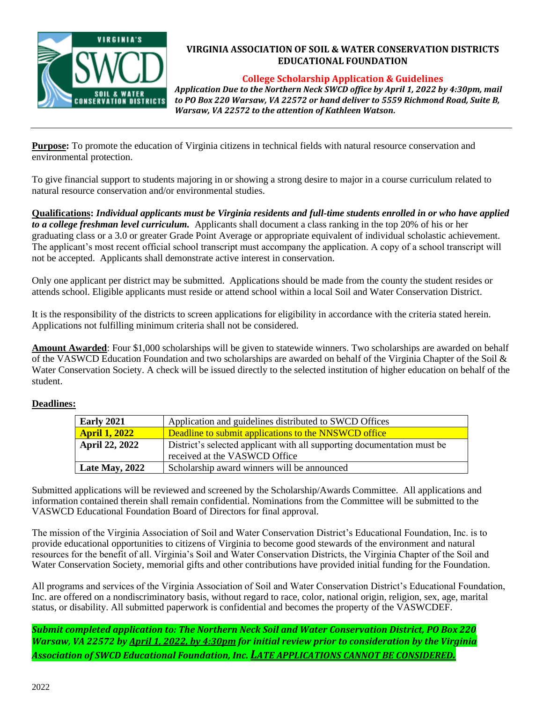

# **VIRGINIA ASSOCIATION OF SOIL & WATER CONSERVATION DISTRICTS EDUCATIONAL FOUNDATION**

### **College Scholarship Application & Guidelines**

*Application Due to the Northern Neck SWCD office by April 1, 2022 by 4:30pm, mail to PO Box 220 Warsaw, VA 22572 or hand deliver to 5559 Richmond Road, Suite B, Warsaw, VA 22572 to the attention of Kathleen Watson.* 

**Purpose:** To promote the education of Virginia citizens in technical fields with natural resource conservation and environmental protection.

To give financial support to students majoring in or showing a strong desire to major in a course curriculum related to natural resource conservation and/or environmental studies.

**Qualifications:** *Individual applicants must be Virginia residents and full-time students enrolled in or who have applied to a college freshman level curriculum.* Applicants shall document a class ranking in the top 20% of his or her graduating class or a 3.0 or greater Grade Point Average or appropriate equivalent of individual scholastic achievement. The applicant's most recent official school transcript must accompany the application. A copy of a school transcript will not be accepted. Applicants shall demonstrate active interest in conservation.

Only one applicant per district may be submitted. Applications should be made from the county the student resides or attends school. Eligible applicants must reside or attend school within a local Soil and Water Conservation District.

It is the responsibility of the districts to screen applications for eligibility in accordance with the criteria stated herein. Applications not fulfilling minimum criteria shall not be considered.

**Amount Awarded**: Four \$1,000 scholarships will be given to statewide winners. Two scholarships are awarded on behalf of the VASWCD Education Foundation and two scholarships are awarded on behalf of the Virginia Chapter of the Soil & Water Conservation Society. A check will be issued directly to the selected institution of higher education on behalf of the student.

# **Deadlines:**

| <b>Early 2021</b>     | Application and guidelines distributed to SWCD Offices                  |  |  |
|-----------------------|-------------------------------------------------------------------------|--|--|
| <b>April 1, 2022</b>  | Deadline to submit applications to the NNSWCD office                    |  |  |
| <b>April 22, 2022</b> | District's selected applicant with all supporting documentation must be |  |  |
|                       | received at the VASWCD Office                                           |  |  |
| <b>Late May, 2022</b> | Scholarship award winners will be announced                             |  |  |

Submitted applications will be reviewed and screened by the Scholarship/Awards Committee. All applications and information contained therein shall remain confidential. Nominations from the Committee will be submitted to the VASWCD Educational Foundation Board of Directors for final approval.

The mission of the Virginia Association of Soil and Water Conservation District's Educational Foundation, Inc. is to provide educational opportunities to citizens of Virginia to become good stewards of the environment and natural resources for the benefit of all. Virginia's Soil and Water Conservation Districts, the Virginia Chapter of the Soil and Water Conservation Society, memorial gifts and other contributions have provided initial funding for the Foundation.

All programs and services of the Virginia Association of Soil and Water Conservation District's Educational Foundation, Inc. are offered on a nondiscriminatory basis, without regard to race, color, national origin, religion, sex, age, marital status, or disability. All submitted paperwork is confidential and becomes the property of the VASWCDEF.

*Submit completed application to: The Northern Neck Soil and Water Conservation District, PO Box 220 Warsaw, VA 22572 by April 1, 2022, by 4:30pm for initial review prior to consideration by the Virginia Association of SWCD Educational Foundation, Inc. LATE APPLICATIONS CANNOT BE CONSIDERED.*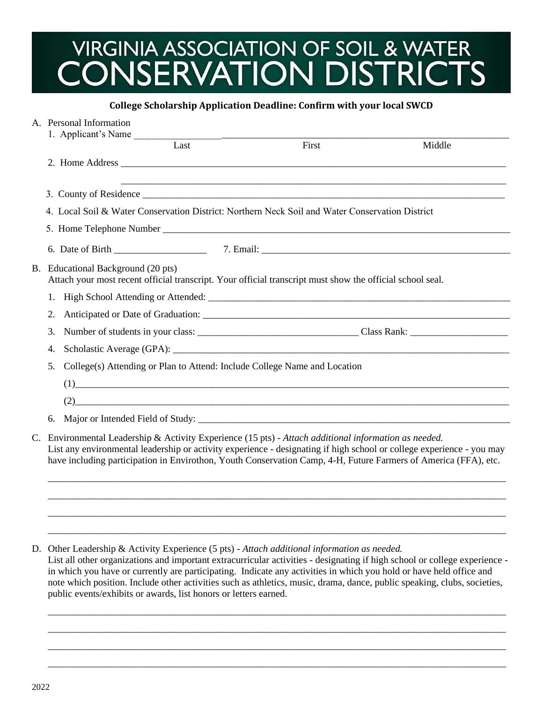# VIRGINIA ASSOCIATION OF SOIL & WATER<br>CONSERVATION DISTRICTS

### **College Scholarship Application Deadline: Confirm with your local SWCD**

|  | A. Personal Information                                                                                                                                                                                                                                                                                                                           |       |        |  |  |  |
|--|---------------------------------------------------------------------------------------------------------------------------------------------------------------------------------------------------------------------------------------------------------------------------------------------------------------------------------------------------|-------|--------|--|--|--|
|  | 1. Applicant's Name                                                                                                                                                                                                                                                                                                                               |       |        |  |  |  |
|  | Last                                                                                                                                                                                                                                                                                                                                              | First | Middle |  |  |  |
|  |                                                                                                                                                                                                                                                                                                                                                   |       |        |  |  |  |
|  |                                                                                                                                                                                                                                                                                                                                                   |       |        |  |  |  |
|  | 4. Local Soil & Water Conservation District: Northern Neck Soil and Water Conservation District                                                                                                                                                                                                                                                   |       |        |  |  |  |
|  |                                                                                                                                                                                                                                                                                                                                                   |       |        |  |  |  |
|  |                                                                                                                                                                                                                                                                                                                                                   |       |        |  |  |  |
|  |                                                                                                                                                                                                                                                                                                                                                   |       |        |  |  |  |
|  | B. Educational Background (20 pts)<br>Attach your most recent official transcript. Your official transcript must show the official school seal.                                                                                                                                                                                                   |       |        |  |  |  |
|  |                                                                                                                                                                                                                                                                                                                                                   |       |        |  |  |  |
|  | 2.                                                                                                                                                                                                                                                                                                                                                |       |        |  |  |  |
|  | 3.                                                                                                                                                                                                                                                                                                                                                |       |        |  |  |  |
|  | 4.                                                                                                                                                                                                                                                                                                                                                |       |        |  |  |  |
|  | College(s) Attending or Plan to Attend: Include College Name and Location<br>5.                                                                                                                                                                                                                                                                   |       |        |  |  |  |
|  | $\left(1\right)$ and $\left(1\right)$ and $\left(1\right)$ and $\left(1\right)$ and $\left(1\right)$ and $\left(1\right)$ and $\left(1\right)$ and $\left(1\right)$ and $\left(1\right)$ and $\left(1\right)$ and $\left(1\right)$ and $\left(1\right)$ and $\left(1\right)$ and $\left(1\right)$ and $\left(1\right)$ and $\left(1\right)$ a     |       |        |  |  |  |
|  | $(2)$ . The contract of the contract of the contract of the contract of the contract of the contract of the contract of the contract of the contract of the contract of the contract of the contract of the contract of the c                                                                                                                     |       |        |  |  |  |
|  | 6.                                                                                                                                                                                                                                                                                                                                                |       |        |  |  |  |
|  | C. Environmental Leadership & Activity Experience (15 pts) - Attach additional information as needed.<br>List any environmental leadership or activity experience - designating if high school or college experience - you may<br>have including participation in Envirothon, Youth Conservation Camp, 4-H, Future Farmers of America (FFA), etc. |       |        |  |  |  |

D. Other Leadership & Activity Experience (5 pts) - *Attach additional information as needed.*

List all other organizations and important extracurricular activities - designating if high school or college experience in which you have or currently are participating. Indicate any activities in which you hold or have held office and note which position. Include other activities such as athletics, music, drama, dance, public speaking, clubs, societies, public events/exhibits or awards, list honors or letters earned.

\_\_\_\_\_\_\_\_\_\_\_\_\_\_\_\_\_\_\_\_\_\_\_\_\_\_\_\_\_\_\_\_\_\_\_\_\_\_\_\_\_\_\_\_\_\_\_\_\_\_\_\_\_\_\_\_\_\_\_\_\_\_\_\_\_\_\_\_\_\_\_\_\_\_\_\_\_\_\_\_\_\_\_\_\_\_\_\_\_\_\_\_\_\_ \_\_\_\_\_\_\_\_\_\_\_\_\_\_\_\_\_\_\_\_\_\_\_\_\_\_\_\_\_\_\_\_\_\_\_\_\_\_\_\_\_\_\_\_\_\_\_\_\_\_\_\_\_\_\_\_\_\_\_\_\_\_\_\_\_\_\_\_\_\_\_\_\_\_\_\_\_\_\_\_\_\_\_\_\_\_\_\_\_\_\_\_\_\_ \_\_\_\_\_\_\_\_\_\_\_\_\_\_\_\_\_\_\_\_\_\_\_\_\_\_\_\_\_\_\_\_\_\_\_\_\_\_\_\_\_\_\_\_\_\_\_\_\_\_\_\_\_\_\_\_\_\_\_\_\_\_\_\_\_\_\_\_\_\_\_\_\_\_\_\_\_\_\_\_\_\_\_\_\_\_\_\_\_\_\_\_\_\_ \_\_\_\_\_\_\_\_\_\_\_\_\_\_\_\_\_\_\_\_\_\_\_\_\_\_\_\_\_\_\_\_\_\_\_\_\_\_\_\_\_\_\_\_\_\_\_\_\_\_\_\_\_\_\_\_\_\_\_\_\_\_\_\_\_\_\_\_\_\_\_\_\_\_\_\_\_\_\_\_\_\_\_\_\_\_\_\_\_\_\_\_\_\_

\_\_\_\_\_\_\_\_\_\_\_\_\_\_\_\_\_\_\_\_\_\_\_\_\_\_\_\_\_\_\_\_\_\_\_\_\_\_\_\_\_\_\_\_\_\_\_\_\_\_\_\_\_\_\_\_\_\_\_\_\_\_\_\_\_\_\_\_\_\_\_\_\_\_\_\_\_\_\_\_\_\_\_\_\_\_\_\_\_\_\_\_\_\_ \_\_\_\_\_\_\_\_\_\_\_\_\_\_\_\_\_\_\_\_\_\_\_\_\_\_\_\_\_\_\_\_\_\_\_\_\_\_\_\_\_\_\_\_\_\_\_\_\_\_\_\_\_\_\_\_\_\_\_\_\_\_\_\_\_\_\_\_\_\_\_\_\_\_\_\_\_\_\_\_\_\_\_\_\_\_\_\_\_\_\_\_\_\_ \_\_\_\_\_\_\_\_\_\_\_\_\_\_\_\_\_\_\_\_\_\_\_\_\_\_\_\_\_\_\_\_\_\_\_\_\_\_\_\_\_\_\_\_\_\_\_\_\_\_\_\_\_\_\_\_\_\_\_\_\_\_\_\_\_\_\_\_\_\_\_\_\_\_\_\_\_\_\_\_\_\_\_\_\_\_\_\_\_\_\_\_\_\_